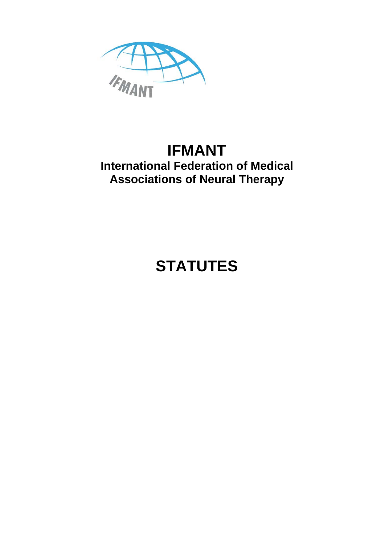

## **IFMANT International Federation of Medical Associations of Neural Therapy**

# **STATUTES**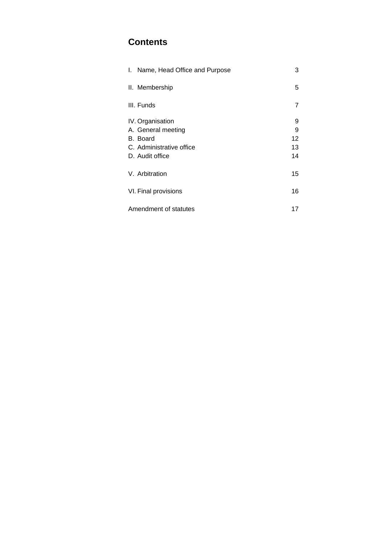### **Contents**

| Name, Head Office and Purpose<br>L. | 3  |
|-------------------------------------|----|
| II. Membership                      | 5  |
| III. Funds                          | 7  |
| IV. Organisation                    | 9  |
| A. General meeting                  | 9  |
| B. Board                            | 12 |
| C. Administrative office            | 13 |
| D. Audit office                     | 14 |
| V. Arbitration                      | 15 |
| VI. Final provisions                | 16 |
| Amendment of statutes               | 17 |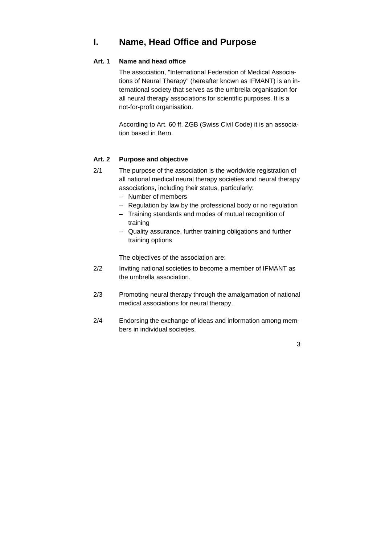### **I. Name, Head Office and Purpose**

#### **Art. 1 Name and head office**

 The association, "International Federation of Medical Associations of Neural Therapy" (hereafter known as IFMANT) is an international society that serves as the umbrella organisation for all neural therapy associations for scientific purposes. It is a not-for-profit organisation.

 According to Art. 60 ff. ZGB (Swiss Civil Code) it is an association based in Bern.

#### **Art. 2 Purpose and objective**

- 2/1 The purpose of the association is the worldwide registration of all national medical neural therapy societies and neural therapy associations, including their status, particularly:
	- Number of members
	- Regulation by law by the professional body or no regulation
	- Training standards and modes of mutual recognition of training
	- Quality assurance, further training obligations and further training options

The objectives of the association are:

- 2/2 Inviting national societies to become a member of IFMANT as the umbrella association.
- 2/3 Promoting neural therapy through the amalgamation of national medical associations for neural therapy.
- 2/4 Endorsing the exchange of ideas and information among members in individual societies.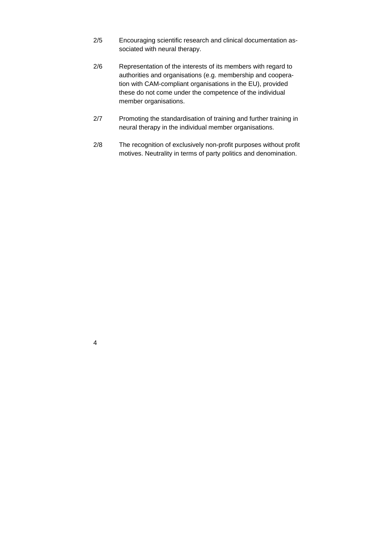- 2/5 Encouraging scientific research and clinical documentation associated with neural therapy.
- 2/6 Representation of the interests of its members with regard to authorities and organisations (e.g. membership and cooperation with CAM-compliant organisations in the EU), provided these do not come under the competence of the individual member organisations.
- 2/7 Promoting the standardisation of training and further training in neural therapy in the individual member organisations.
- 2/8 The recognition of exclusively non-profit purposes without profit motives. Neutrality in terms of party politics and denomination.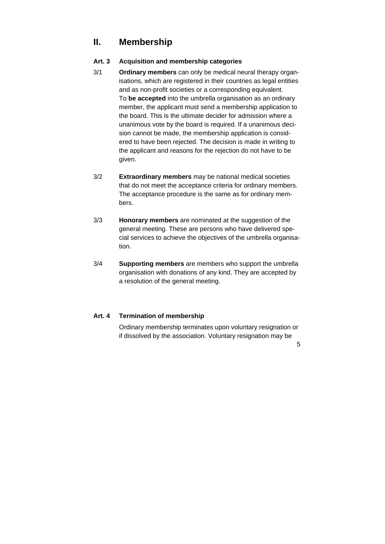### **II. Membership**

#### **Art. 3 Acquisition and membership categories**

- 3/1 **Ordinary members** can only be medical neural therapy organisations, which are registered in their countries as legal entities and as non-profit societies or a corresponding equivalent. To **be accepted** into the umbrella organisation as an ordinary member, the applicant must send a membership application to the board. This is the ultimate decider for admission where a unanimous vote by the board is required. If a unanimous decision cannot be made, the membership application is considered to have been rejected. The decision is made in writing to the applicant and reasons for the rejection do not have to be given.
- 3/2 **Extraordinary members** may be national medical societies that do not meet the acceptance criteria for ordinary members. The acceptance procedure is the same as for ordinary members.
- 3/3 **Honorary members** are nominated at the suggestion of the general meeting. These are persons who have delivered special services to achieve the objectives of the umbrella organisation.
- 3/4 **Supporting members** are members who support the umbrella organisation with donations of any kind. They are accepted by a resolution of the general meeting.

#### **Art. 4 Termination of membership**

 Ordinary membership terminates upon voluntary resignation or if dissolved by the association. Voluntary resignation may be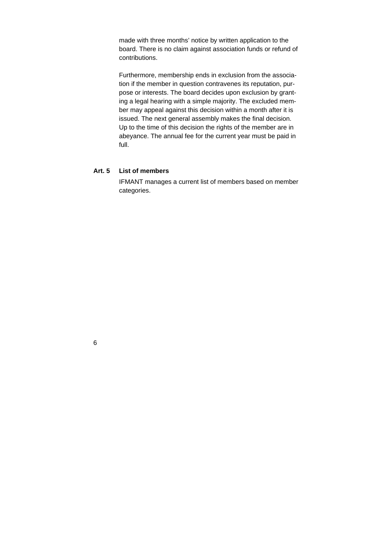made with three months' notice by written application to the board. There is no claim against association funds or refund of contributions.

 Furthermore, membership ends in exclusion from the association if the member in question contravenes its reputation, purpose or interests. The board decides upon exclusion by granting a legal hearing with a simple majority. The excluded member may appeal against this decision within a month after it is issued. The next general assembly makes the final decision. Up to the time of this decision the rights of the member are in abeyance. The annual fee for the current year must be paid in full.

#### **Art. 5 List of members**

 IFMANT manages a current list of members based on member categories.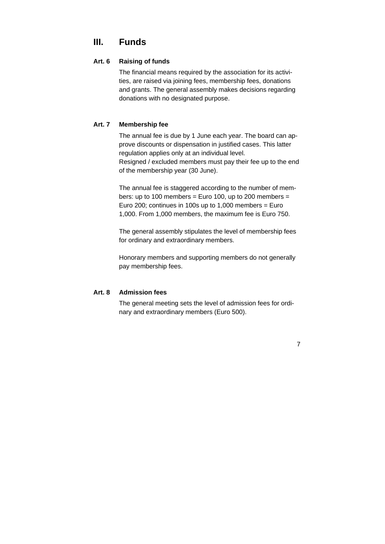### **III. Funds**

#### **Art. 6 Raising of funds**

 The financial means required by the association for its activities, are raised via joining fees, membership fees, donations and grants. The general assembly makes decisions regarding donations with no designated purpose.

#### **Art. 7 Membership fee**

 The annual fee is due by 1 June each year. The board can approve discounts or dispensation in justified cases. This latter regulation applies only at an individual level. Resigned / excluded members must pay their fee up to the end of the membership year (30 June).

 The annual fee is staggered according to the number of members: up to 100 members = Euro 100, up to 200 members = Euro 200; continues in 100s up to 1,000 members = Euro 1,000. From 1,000 members, the maximum fee is Euro 750.

 The general assembly stipulates the level of membership fees for ordinary and extraordinary members.

 Honorary members and supporting members do not generally pay membership fees.

#### **Art. 8 Admission fees**

 The general meeting sets the level of admission fees for ordinary and extraordinary members (Euro 500).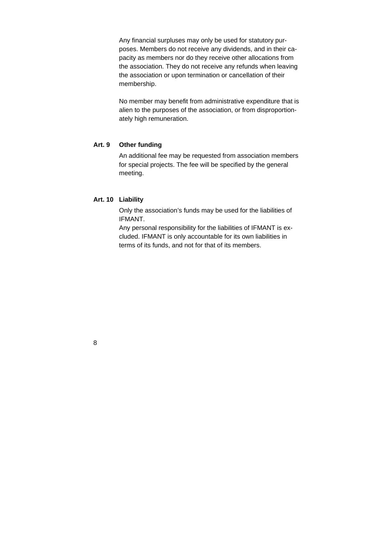Any financial surpluses may only be used for statutory purposes. Members do not receive any dividends, and in their capacity as members nor do they receive other allocations from the association. They do not receive any refunds when leaving the association or upon termination or cancellation of their membership.

 No member may benefit from administrative expenditure that is alien to the purposes of the association, or from disproportionately high remuneration.

#### **Art. 9 Other funding**

 An additional fee may be requested from association members for special projects. The fee will be specified by the general meeting.

#### **Art. 10 Liability**

 Only the association's funds may be used for the liabilities of IFMANT.

 Any personal responsibility for the liabilities of IFMANT is excluded. IFMANT is only accountable for its own liabilities in terms of its funds, and not for that of its members.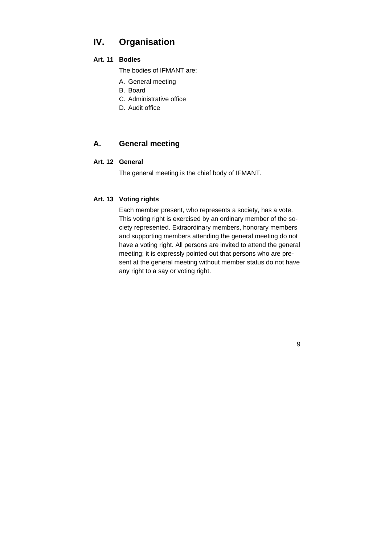### **IV. Organisation**

#### **Art. 11 Bodies**

The bodies of IFMANT are:

- A. General meeting
- B. Board
- C. Administrative office
- D. Audit office

#### **A. General meeting**

#### **Art. 12 General**

The general meeting is the chief body of IFMANT.

#### **Art. 13 Voting rights**

 Each member present, who represents a society, has a vote. This voting right is exercised by an ordinary member of the society represented. Extraordinary members, honorary members and supporting members attending the general meeting do not have a voting right. All persons are invited to attend the general meeting; it is expressly pointed out that persons who are present at the general meeting without member status do not have any right to a say or voting right.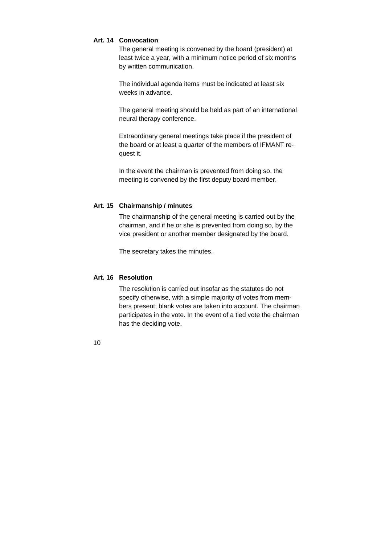#### **Art. 14 Convocation**

 The general meeting is convened by the board (president) at least twice a year, with a minimum notice period of six months by written communication.

 The individual agenda items must be indicated at least six weeks in advance.

 The general meeting should be held as part of an international neural therapy conference.

 Extraordinary general meetings take place if the president of the board or at least a quarter of the members of IFMANT request it.

 In the event the chairman is prevented from doing so, the meeting is convened by the first deputy board member.

#### **Art. 15 Chairmanship / minutes**

 The chairmanship of the general meeting is carried out by the chairman, and if he or she is prevented from doing so, by the vice president or another member designated by the board.

The secretary takes the minutes.

#### **Art. 16 Resolution**

 The resolution is carried out insofar as the statutes do not specify otherwise, with a simple majority of votes from members present; blank votes are taken into account. The chairman participates in the vote. In the event of a tied vote the chairman has the deciding vote.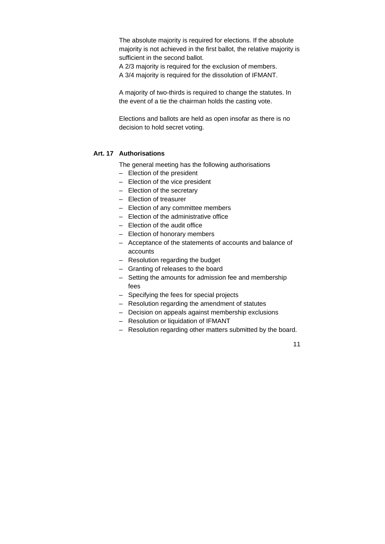The absolute majority is required for elections. If the absolute majority is not achieved in the first ballot, the relative majority is sufficient in the second ballot.

 A 2/3 majority is required for the exclusion of members. A 3/4 majority is required for the dissolution of IFMANT.

 A majority of two-thirds is required to change the statutes. In the event of a tie the chairman holds the casting vote.

 Elections and ballots are held as open insofar as there is no decision to hold secret voting.

#### **Art. 17 Authorisations**

The general meeting has the following authorisations

- Election of the president
- Election of the vice president
- Election of the secretary
- Election of treasurer
- Election of any committee members
- Election of the administrative office
- Election of the audit office
- Election of honorary members
- Acceptance of the statements of accounts and balance of accounts
- Resolution regarding the budget
- Granting of releases to the board
- Setting the amounts for admission fee and membership fees
- Specifying the fees for special projects
- Resolution regarding the amendment of statutes
- Decision on appeals against membership exclusions
- Resolution or liquidation of IFMANT
- Resolution regarding other matters submitted by the board.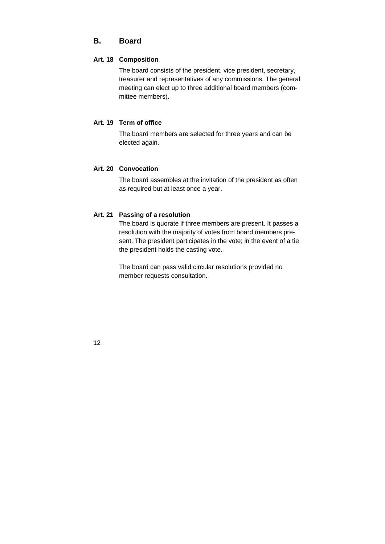#### **B. Board**

#### **Art. 18 Composition**

 The board consists of the president, vice president, secretary, treasurer and representatives of any commissions. The general meeting can elect up to three additional board members (committee members).

#### **Art. 19 Term of office**

 The board members are selected for three years and can be elected again.

#### **Art. 20 Convocation**

 The board assembles at the invitation of the president as often as required but at least once a year.

#### **Art. 21 Passing of a resolution**

 The board is quorate if three members are present. It passes a resolution with the majority of votes from board members present. The president participates in the vote; in the event of a tie the president holds the casting vote.

 The board can pass valid circular resolutions provided no member requests consultation.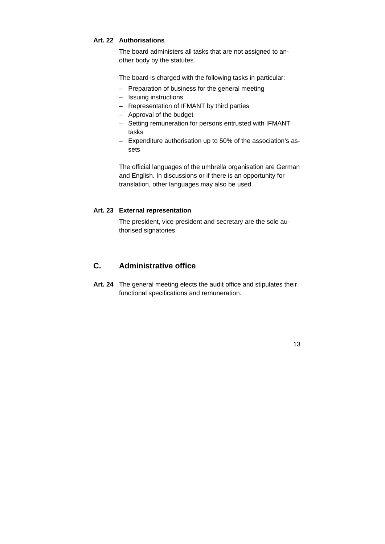#### **Art. 22 Authorisations**

 The board administers all tasks that are not assigned to another body by the statutes.

The board is charged with the following tasks in particular:

- Preparation of business for the general meeting
- Issuing instructions
- Representation of IFMANT by third parties
- Approval of the budget
- Setting remuneration for persons entrusted with IFMANT tasks
- Expenditure authorisation up to 50% of the association's assets

 The official languages of the umbrella organisation are German and English. In discussions or if there is an opportunity for translation, other languages may also be used.

#### **Art. 23 External representation**

 The president, vice president and secretary are the sole authorised signatories.

#### **C. Administrative office**

**Art. 24** The general meeting elects the audit office and stipulates their functional specifications and remuneration.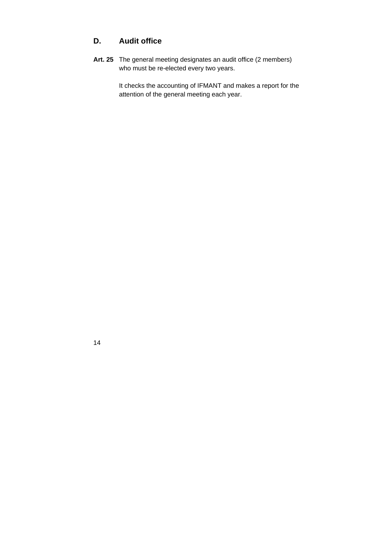#### **D. Audit office**

14

**Art. 25** The general meeting designates an audit office (2 members) who must be re-elected every two years.

> It checks the accounting of IFMANT and makes a report for the attention of the general meeting each year.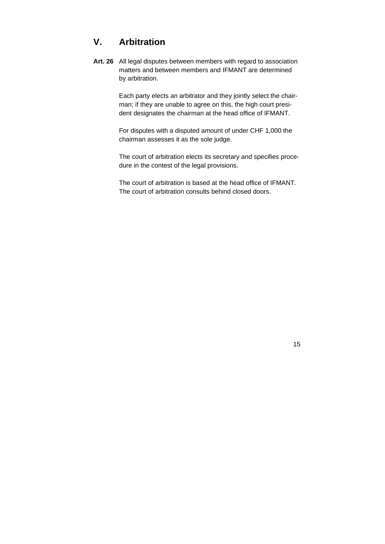### **V. Arbitration**

**Art. 26** All legal disputes between members with regard to association matters and between members and IFMANT are determined by arbitration.

> Each party elects an arbitrator and they jointly select the chairman; if they are unable to agree on this, the high court president designates the chairman at the head office of IFMANT.

 For disputes with a disputed amount of under CHF 1,000 the chairman assesses it as the sole judge.

 The court of arbitration elects its secretary and specifies procedure in the contest of the legal provisions.

 The court of arbitration is based at the head office of IFMANT. The court of arbitration consults behind closed doors.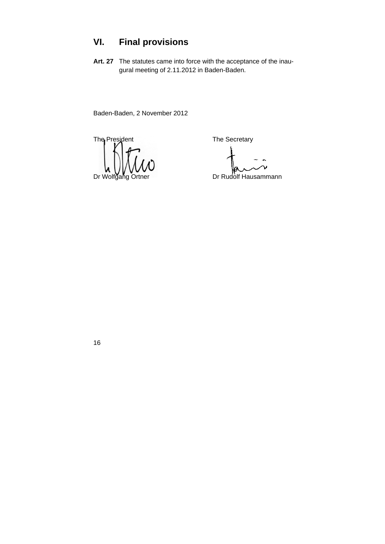### **VI. Final provisions**

**Art. 27** The statutes came into force with the acceptance of the inaugural meeting of 2.11.2012 in Baden-Baden.

Baden-Baden, 2 November 2012

The President The Secretary Dr Wolfgang Ortner **Dr Rudolf Hausammann**